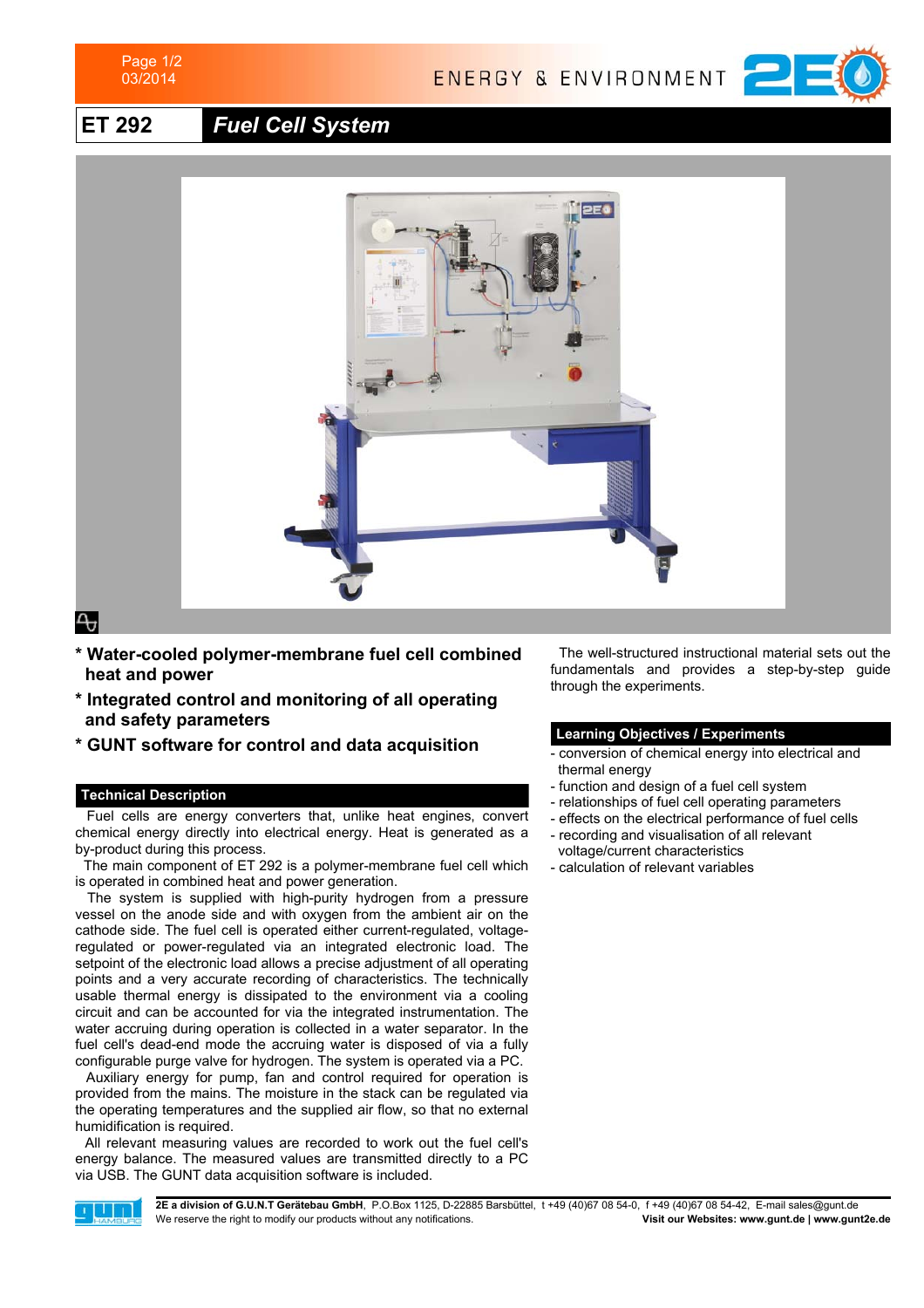

ENERGY & ENVIRONMENT



**ET 292** *Fuel Cell System*



ᠲ

- **\* Water-cooled polymer-membrane fuel cell combined heat and power 1**
- **\* Integrated control and monitoring of all operating** and safety parameters
- **\* GUNT software for control and data acquisition**

# **Technical Description**

 Fuel cells are energy converters that, unlike heat engines, convert chemical energy directly into electrical energy. Heat is generated as a by-product during this process.

 The main component of ET 292 is a polymer-membrane fuel cell which is operated in combined heat and power generation.

 The system is supplied with high-purity hydrogen from a pressure vessel on the anode side and with oxygen from the ambient air on the cathode side. The fuel cell is operated either current-regulated, voltageregulated or power-regulated via an integrated electronic load. The setpoint of the electronic load allows a precise adjustment of all operating points and a very accurate recording of characteristics. The technically usable thermal energy is dissipated to the environment via a cooling circuit and can be accounted for via the integrated instrumentation. The water accruing during operation is collected in a water separator. In the fuel cell's dead-end mode the accruing water is disposed of via a fully configurable purge valve for hydrogen. The system is operated via a PC.

 Auxiliary energy for pump, fan and control required for operation is provided from the mains. The moisture in the stack can be regulated via the operating temperatures and the supplied air flow, so that no external humidification is required.

 All relevant measuring values are recorded to work out the fuel cell's energy balance. The measured values are transmitted directly to a PC via USB. The GUNT data acquisition software is included.

 The well-structured instructional material sets out the fundamentals and provides a step-by-step guide through the experiments.

## **Learning Objectives / Experiments**

- conversion of chemical energy into electrical and thermal energy
- function and design of a fuel cell system
- relationships of fuel cell operating parameters
- effects on the electrical performance of fuel cells
- recording and visualisation of all relevant voltage/current characteristics
- calculation of relevant variables